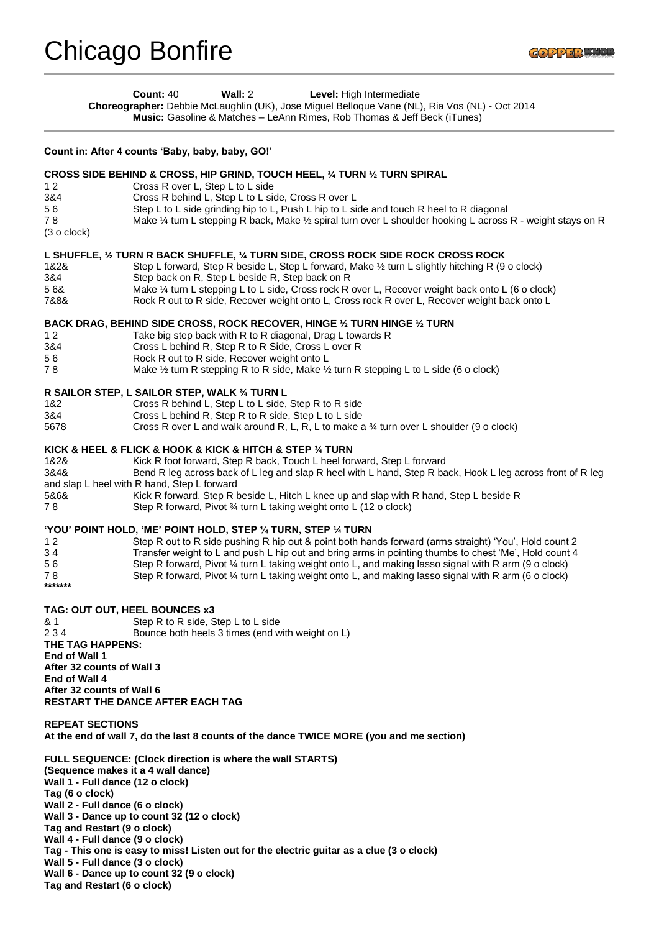## Chicago Bonfire

**Count:** 40 **Wall:** 2 **Level:** High Intermediate **Choreographer:** Debbie McLaughlin (UK), Jose Miguel Belloque Vane (NL), Ria Vos (NL) - Oct 2014 **Music:** Gasoline & Matches – LeAnn Rimes, Rob Thomas & Jeff Beck (iTunes) **Count in: After 4 counts 'Baby, baby, baby, GO!' CROSS SIDE BEHIND & CROSS, HIP GRIND, TOUCH HEEL, ¼ TURN ½ TURN SPIRAL**  1 2 Cross R over L, Step L to L side 3&4 Cross R behind L, Step L to L side, Cross R over L 5 6 Step L to L side grinding hip to L, Push L hip to L side and touch R heel to R diagonal 7 8 Make ¼ turn L stepping R back, Make ½ spiral turn over L shoulder hooking L across R - weight stays on R (3 o clock) **L SHUFFLE, ½ TURN R BACK SHUFFLE, ¼ TURN SIDE, CROSS ROCK SIDE ROCK CROSS ROCK**  1&2& Step L forward, Step R beside L, Step L forward, Make ½ turn L slightly hitching R (9 o clock) 3&4 Step back on R, Step L beside R, Step back on R 5 6& Make ¼ turn L stepping L to L side, Cross rock R over L, Recover weight back onto L (6 o clock) 7&8& Rock R out to R side, Recover weight onto L, Cross rock R over L, Recover weight back onto L **BACK DRAG, BEHIND SIDE CROSS, ROCK RECOVER, HINGE ½ TURN HINGE ½ TURN**  1 2 Take big step back with R to R diagonal, Drag L towards R 3&4 Cross L behind R, Step R to R Side, Cross L over R 5 6 Rock R out to R side, Recover weight onto L 7 8 Make ½ turn R stepping R to R side, Make ½ turn R stepping L to L side (6 o clock) **R SAILOR STEP, L SAILOR STEP, WALK ¾ TURN L**  1&2 Cross R behind L, Step L to L side, Step R to R side 3&4 Cross L behind R, Step R to R side, Step L to L side 5678 Cross R over L and walk around R, L, R, L to make a ¾ turn over L shoulder (9 o clock) **KICK & HEEL & FLICK & HOOK & KICK & HITCH & STEP ¾ TURN**  1&2& Kick R foot forward, Step R back, Touch L heel forward, Step L forward 3&4& Bend R leg across back of L leg and slap R heel with L hand, Step R back, Hook L leg across front of R leg and slap L heel with R hand, Step L forward 5&6& Kick R forward, Step R beside L, Hitch L knee up and slap with R hand, Step L beside R 7 8 Step R forward, Pivot ¾ turn L taking weight onto L (12 o clock) **'YOU' POINT HOLD, 'ME' POINT HOLD, STEP ¼ TURN, STEP ¼ TURN**  1 2 Step R out to R side pushing R hip out & point both hands forward (arms straight) 'You', Hold count 2 3 4 Transfer weight to L and push L hip out and bring arms in pointing thumbs to chest 'Me', Hold count 4 5 6 Step R forward, Pivot ¼ turn L taking weight onto L, and making lasso signal with R arm (9 o clock) 7 8 Step R forward, Pivot ¼ turn L taking weight onto L, and making lasso signal with R arm (6 o clock)

## **TAG: OUT OUT, HEEL BOUNCES x3**

**\*\*\*\*\*\*\*** 

& 1 Step R to R side, Step L to L side 2 3 4 Bounce both heels 3 times (end with weight on L) **THE TAG HAPPENS: End of Wall 1 After 32 counts of Wall 3 End of Wall 4 After 32 counts of Wall 6 RESTART THE DANCE AFTER EACH TAG** 

**REPEAT SECTIONS At the end of wall 7, do the last 8 counts of the dance TWICE MORE (you and me section)** 

**FULL SEQUENCE: (Clock direction is where the wall STARTS) (Sequence makes it a 4 wall dance) Wall 1 - Full dance (12 o clock) Tag (6 o clock) Wall 2 - Full dance (6 o clock) Wall 3 - Dance up to count 32 (12 o clock) Tag and Restart (9 o clock) Wall 4 - Full dance (9 o clock) Tag - This one is easy to miss! Listen out for the electric guitar as a clue (3 o clock) Wall 5 - Full dance (3 o clock) Wall 6 - Dance up to count 32 (9 o clock) Tag and Restart (6 o clock)**